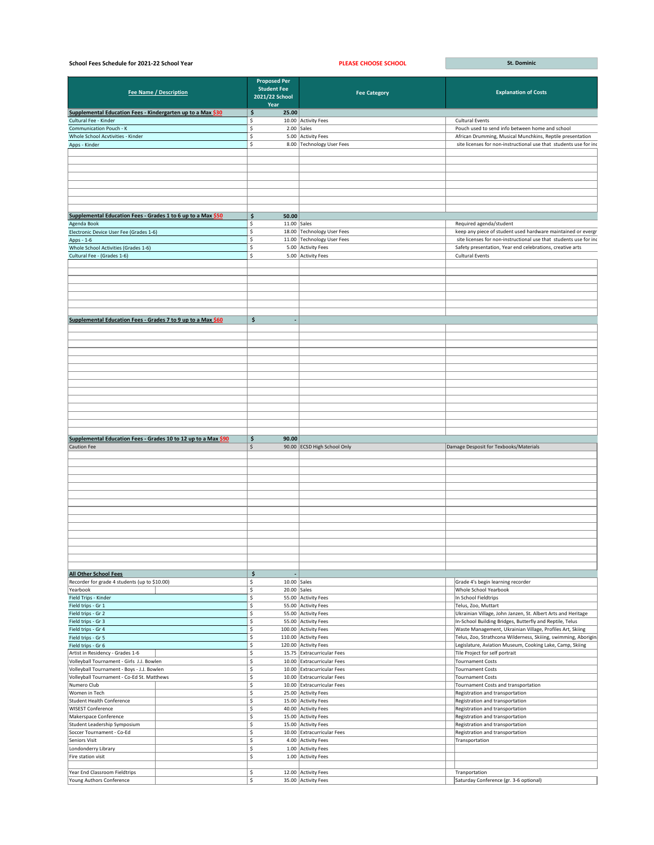| School Fees Schedule for 2021-22 School Year                   |  |                                                                     | <b>PLEASE CHOOSE SCHOOL</b>                              | <b>St. Dominic</b>                                                                                                       |  |
|----------------------------------------------------------------|--|---------------------------------------------------------------------|----------------------------------------------------------|--------------------------------------------------------------------------------------------------------------------------|--|
| <b>Fee Name / Description</b>                                  |  | <b>Proposed Per</b><br><b>Student Fee</b><br>2021/22 School<br>Year | <b>Fee Category</b>                                      | <b>Explanation of Costs</b>                                                                                              |  |
| Supplemental Education Fees - Kindergarten up to a Max \$30    |  | $\mathsf{\hat{S}}$<br>25.00                                         |                                                          |                                                                                                                          |  |
| Cultural Fee - Kinder                                          |  | ς.                                                                  | 10.00 Activity Fees                                      | <b>Cultural Events</b>                                                                                                   |  |
| <b>Communication Pouch - K</b>                                 |  |                                                                     | $2.00$ Sales                                             | Pouch used to send info between home and school                                                                          |  |
| Whole School Acvtivities - Kinder                              |  |                                                                     | 5.00 Activity Fees                                       | African Drumming, Musical Munchkins, Reptile presentation                                                                |  |
| Apps - Kinder                                                  |  | Ŝ.                                                                  | 8.00 Technology User Fees                                | site licenses for non-instructional use that students use for inc                                                        |  |
|                                                                |  |                                                                     |                                                          |                                                                                                                          |  |
| Supplemental Education Fees - Grades 1 to 6 up to a Max \$50   |  | $\mathsf{\hat{S}}$<br>50.00                                         |                                                          |                                                                                                                          |  |
| Agenda Book                                                    |  | 11.00 $\vert$ Sales<br>Ŝ.                                           |                                                          | Required agenda/student                                                                                                  |  |
| Electronic Device User Fee (Grades 1-6)                        |  | Ŝ.                                                                  | 18.00 Technology User Fees                               | keep any piece of student used hardware maintained or evergr                                                             |  |
| Apps - 1-6                                                     |  |                                                                     | 11.00 Technology User Fees                               | site licenses for non-instructional use that students use for inc                                                        |  |
| Whole School Activities (Grades 1-6)                           |  | Ŝ.                                                                  | 5.00 Activity Fees                                       | Safety presentation, Year end celebrations, creative arts                                                                |  |
| Cultural Fee - (Grades 1-6)                                    |  | Ŝ.                                                                  | 5.00 Activity Fees                                       | <b>Cultural Events</b>                                                                                                   |  |
|                                                                |  |                                                                     |                                                          |                                                                                                                          |  |
| Supplemental Education Fees - Grades 7 to 9 up to a Max \$60   |  | \$<br>$\rightarrow$                                                 |                                                          |                                                                                                                          |  |
|                                                                |  |                                                                     |                                                          |                                                                                                                          |  |
|                                                                |  |                                                                     |                                                          |                                                                                                                          |  |
|                                                                |  |                                                                     |                                                          |                                                                                                                          |  |
|                                                                |  |                                                                     |                                                          |                                                                                                                          |  |
|                                                                |  |                                                                     |                                                          |                                                                                                                          |  |
| Supplemental Education Fees - Grades 10 to 12 up to a Max \$90 |  | $\ddot{\bm{\zeta}}$<br>90.00                                        |                                                          |                                                                                                                          |  |
| Caution Fee                                                    |  | \$                                                                  | 90.00 ECSD High School Only                              | Damage Desposit for Texbooks/Materials                                                                                   |  |
|                                                                |  |                                                                     |                                                          |                                                                                                                          |  |
|                                                                |  |                                                                     |                                                          |                                                                                                                          |  |
|                                                                |  |                                                                     |                                                          |                                                                                                                          |  |
|                                                                |  |                                                                     |                                                          |                                                                                                                          |  |
|                                                                |  |                                                                     |                                                          |                                                                                                                          |  |
| <b>All Other School Fees</b>                                   |  | \$                                                                  |                                                          |                                                                                                                          |  |
| Recorder for grade 4 students (up to \$10.00)                  |  | $10.00$ Sales<br>Ś.                                                 |                                                          | Grade 4's begin learning recorder                                                                                        |  |
| Yearbook                                                       |  | $20.00$ Sales<br>Ŝ.                                                 |                                                          | <b>Whole School Yearbook</b>                                                                                             |  |
| Field Trips - Kinder                                           |  | Ŝ.                                                                  | 55.00 Activity Fees                                      | In School Fieldtrips                                                                                                     |  |
| Field trips - Gr 1                                             |  | Ś                                                                   | 55.00 Activity Fees                                      | Telus, Zoo, Muttart                                                                                                      |  |
| Field trips - Gr 2<br>Field trips - Gr 3                       |  | Ŝ.<br>Ŝ.                                                            | 55.00 Activity Fees<br>55.00 Activity Fees               | Ukrainian Village, John Janzen, St. Albert Arts and Heritage<br>In-School Building Bridges, Butterfly and Reptile, Telus |  |
| Field trips - Gr 4                                             |  | Ŝ.                                                                  | 100.00 Activity Fees                                     | Waste Management, Ukrainian Village, Profiles Art, Skiing                                                                |  |
| Field trips - Gr 5                                             |  | Ŝ.                                                                  | 110.00 Activity Fees                                     | Telus, Zoo, Strathcona Wilderness, Skiiing, swimming, Aborigin                                                           |  |
| Field trips - Gr 6                                             |  | Ŝ.                                                                  | 120.00 Activity Fees                                     | Legislature, Aviation Museum, Cooking Lake, Camp, Skiing                                                                 |  |
| Artist in Residency - Grades 1-6                               |  | Ŝ.                                                                  | 15.75 Extracurricular Fees                               | Tile Project for self portrait                                                                                           |  |
| Volleyball Tournament - Girls J.J. Bowlen                      |  | Ś                                                                   | 10.00 Extracurricular Fees                               | <b>Tournament Costs</b>                                                                                                  |  |
| Volleyball Tournament - Boys - J.J. Bowlen                     |  | Ŝ.                                                                  | 10.00 Extracurricular Fees                               | <b>Tournament Costs</b>                                                                                                  |  |
| Volleyball Tournament - Co-Ed St. Matthews<br>Numero Club      |  | Ś<br>Ŝ.                                                             | 10.00 Extracurricular Fees<br>10.00 Extracurricular Fees | Tournament Costs                                                                                                         |  |
| Women in Tech                                                  |  | Ŝ.                                                                  | 25.00 Activity Fees                                      | Tournament Costs and transportation<br>Registration and transportation                                                   |  |
| Student Health Conference                                      |  | Ś.                                                                  | 15.00 Activity Fees                                      | Registration and transportation                                                                                          |  |
| <b>WISEST Conference</b>                                       |  | Ś                                                                   | 40.00 Activity Fees                                      | Registration and transportation                                                                                          |  |
| Makerspace Conference                                          |  | Ŝ.                                                                  | 15.00 Activity Fees                                      | Registration and transportation                                                                                          |  |
| Student Leadership Symposium                                   |  | \$                                                                  | 15.00 Activity Fees                                      | Registration and transportation                                                                                          |  |
| Soccer Tournament - Co-Ed                                      |  | Ś                                                                   | 10.00 Extracurricular Fees                               | Registration and transportation                                                                                          |  |
| Seniors Visit                                                  |  | Ŝ.                                                                  | 4.00 Activity Fees                                       | Transportation                                                                                                           |  |
| Londonderry Library                                            |  | \$<br>Ŝ.                                                            | 1.00 Activity Fees                                       |                                                                                                                          |  |
| Fire station visit                                             |  |                                                                     | 1.00 Activity Fees                                       |                                                                                                                          |  |
| Year End Classroom Fieldtrips                                  |  | \$                                                                  | 12.00 Activity Fees                                      | Tranportation                                                                                                            |  |
| Young Authors Conference                                       |  | \$                                                                  | 35.00 Activity Fees                                      | Saturday Conference (gr. 3-6 optional)                                                                                   |  |